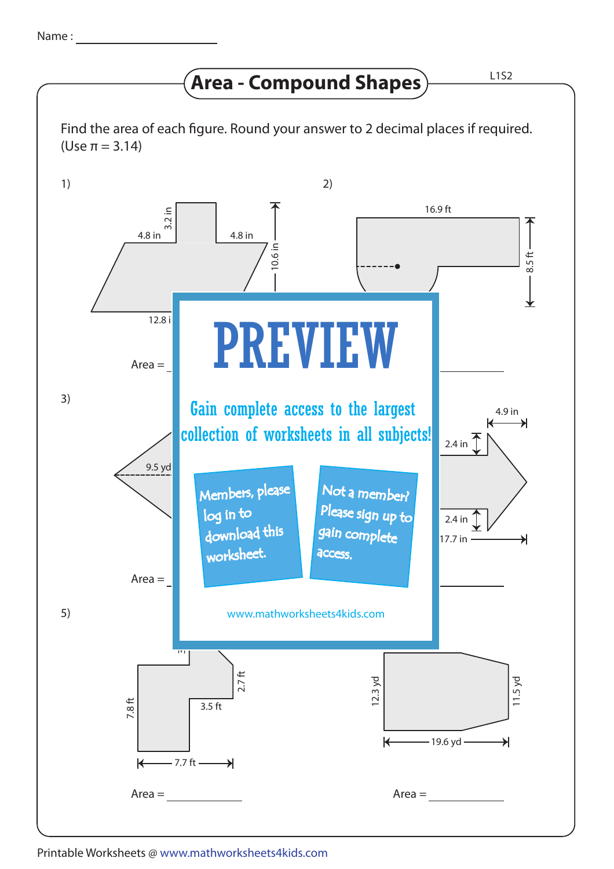## **Area - Compound Shapes**  $\frac{L152}{L152}$

Find the area of each figure. Round your answer to 2 decimal places if required. (Use π = 3.14)



Printable Worksheets @ www.mathworksheets4kids.com